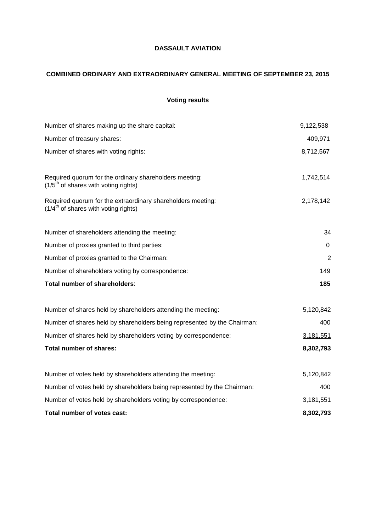## **DASSAULT AVIATION**

# **COMBINED ORDINARY AND EXTRAORDINARY GENERAL MEETING OF SEPTEMBER 23, 2015**

# **Voting results**

| Number of shares making up the share capital:                                                                    | 9,122,538      |
|------------------------------------------------------------------------------------------------------------------|----------------|
| Number of treasury shares:                                                                                       | 409,971        |
| Number of shares with voting rights:                                                                             | 8,712,567      |
| Required quorum for the ordinary shareholders meeting:<br>$(1/5th$ of shares with voting rights)                 | 1,742,514      |
| Required quorum for the extraordinary shareholders meeting:<br>$(1/4^{\text{th}})$ of shares with voting rights) | 2,178,142      |
| Number of shareholders attending the meeting:                                                                    | 34             |
| Number of proxies granted to third parties:                                                                      | 0              |
| Number of proxies granted to the Chairman:                                                                       | $\overline{2}$ |
| Number of shareholders voting by correspondence:                                                                 | <u>149</u>     |
| Total number of shareholders:                                                                                    | 185            |
| Number of shares held by shareholders attending the meeting:                                                     | 5,120,842      |
| Number of shares held by shareholders being represented by the Chairman:                                         | 400            |
| Number of shares held by shareholders voting by correspondence:                                                  | 3,181,551      |
| <b>Total number of shares:</b>                                                                                   | 8,302,793      |
| Number of votes held by shareholders attending the meeting:                                                      | 5,120,842      |
| Number of votes held by shareholders being represented by the Chairman:                                          | 400            |
| Number of votes held by shareholders voting by correspondence:                                                   | 3,181,551      |
| Total number of votes cast:                                                                                      | 8,302,793      |